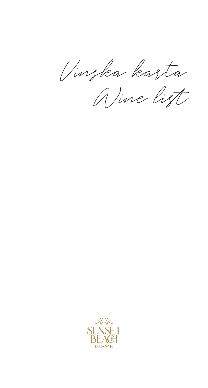Vinska karta

Wine list

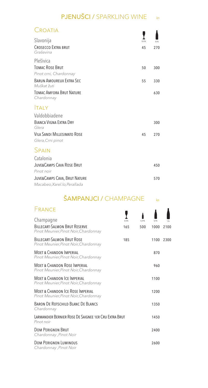#### PJENUŠCI / SPARKLING WINE kn

| Croatia                                                       |              |              |
|---------------------------------------------------------------|--------------|--------------|
| Slavonija<br><b>CROSECCO EXTRA BRUT</b><br>Graševina          | 0.125L<br>45 | 0.75L<br>270 |
| Plešivica<br><b>TOMAC ROSE BRUT</b><br>Pinot crni, Chardonnay | 50           | 300          |
| <b>BARUN AMOURFUX EXTRA SEC.</b><br>Muškat žuti               | 55           | 330          |
| TOMAC AMFORA BRUT NATURE<br>Chardonnay                        |              | 630          |
| <b>TALY</b>                                                   |              |              |
| Valdobbiadene<br><b>BIANCA VIGNA EXTRA DRY</b><br>Glera       |              | 300          |
| <b>VILA SANDI MILLESIMATO ROSE</b><br>Glera, Crni pinot       | 45           | 270          |
| SPAIN                                                         |              |              |
| Catalonia                                                     |              |              |
| <b>JUVE&amp;CAMPS CAVA ROSE BRUT</b><br>Pinot noir            |              | 450          |
| JUVE&CAMPS CAVA, BRUT NATURE<br>Macabeo, Xarel.lo, Perallada  |              | 570          |

#### $\mathsf{SAMPANJCI}$  /  $\mathsf{CHAMPAGNE}$   $\qquad\qquad\mathsf{kn}$

| 0.125L                                                | 0.375L | 0.75L | 1.5L |
|-------------------------------------------------------|--------|-------|------|
| 165                                                   | 500    | 1000  | 2100 |
| 185                                                   |        | 1100  | 2300 |
|                                                       |        | 870   |      |
|                                                       |        | 960   |      |
|                                                       |        | 1100  |      |
|                                                       |        | 1200  |      |
|                                                       |        | 1350  |      |
| LARMANDIER BERNIER ROSE DE SAIGNEE 1ER CRU EXTRA BRUT |        | 1450  |      |
|                                                       |        | 2400  |      |
|                                                       |        | 2600  |      |
|                                                       |        |       |      |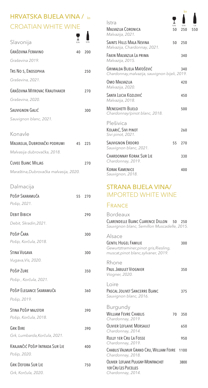# HRVATSKA BIJELA VINA / kn CROATIAN WHITE WINE

| Slavonija                              |    |     |
|----------------------------------------|----|-----|
| <b>GRAŠEVINA FERAVINO</b>              | 40 | 200 |
| Graševina 2019.                        |    |     |
| TRS NO 5, ENOSOPHIA                    |    | 250 |
| Graševina, 2021.                       |    |     |
| <b>GRAŠEVINA MITROVAC KRAUTHAKER</b>   |    | 270 |
| Graševina, 2020.                       |    |     |
| SAUVIGNON GALIĆ                        |    | 300 |
| Sauvignon blanc, 2021.                 |    |     |
| Konavle                                |    |     |
| MALVASIJA, DUBROVAČKI PODRUMI          | 45 | 225 |
| Malvasija dubrovačka, 2018.            |    |     |
| <b>CUVEE BLANC MILJAS</b>              |    | 270 |
| Maraština, Dubrovačka malvasija, 2020. |    |     |
| Dalmacija                              |    |     |
| POŠIP SKARAMUČA                        | 55 | 270 |
| Pošip, 2021.                           |    |     |
| <b><i><u>DEBIT ВІВІСН</u></i></b>      |    | 290 |
| Debit, Skradin, 2021.                  |    |     |
| Pošip Čara                             |    | 300 |
| Pošip, Korčula, 2018.                  |    |     |
| <b>STINA VUGAVA</b>                    |    | 300 |
| Vugava, Vis, 2020.                     |    |     |
| Pošip Zure                             |    | 350 |
| Pošip, Korčula, 2021.                  |    |     |
| POŠIP ELEGANCE SKARAMUČA               |    | 360 |
| Pošip, 2019.                           |    |     |
| STINA POŠIP MAJSTOR                    |    | 390 |
| Pošip, Korčula, 2018.                  |    |     |
| <b>GRK BIRE</b>                        |    | 390 |
| Grk, Lumbarda, Korčula, 2021.          |    |     |
| KRAJANČIĆ POŠIP INTRADA SUR LIE        |    | 400 |
| Pošip, 2020.                           |    |     |
| <b>GRK DEFORA SUR LIE</b>              |    | 750 |
| Grk, Korčula, 2020.                    |    |     |

Ţ Istra 0,15L 1,5L Malvazija Coronica 50 250 550 250 *Malvazija, 2021.* SAINTS HILLS MALA NEVINA 50 250 *Malvazija, Chardonnay, 2021.* Fakin Malvazija La prima 340 *Malvazija, 2015.* Grimalda Bijela Matošević 340 *Chardonnay,malvazija, sauvignon bijeli, 2019.* Omo Malvazija 420 *Malvazija, 2020.* Santa Lucia Kozlović 450 *Malvazija, 2018.* MENEGHETTI BIJELO 500 *Chardonnay/pinot blanc, 2018.* Plešivica KOLARIĆ, SIVI PINOT 260 *Sivi pinot, 2021.* SAUVIGNON ERDORO 55 270 *Sauvignon blanc, 2021.* CHARDONNAY KORAK SUR LIE 330 *Chardonnay, 2019.* KORAK KAMENICE 400

kn

### STRANA BIJELA VINA/ IMPORTED WHITE WINE

#### **FRANCE**

*Sauvignon, 2018.*

| Bordeaux<br>CLARENDELLE BLANC CLARENCE DILLON 50 250<br>Sauvignon blanc, Semillon Muscadelle, 2015.                     |      |
|-------------------------------------------------------------------------------------------------------------------------|------|
| Alsace<br><b>GENTIL HUGEL FAMILIE</b><br>Gewurtztraminer, pinot gris, Riesling,<br>muscat, pinot blanc, sylvaner, 2019. | 300  |
| Rhone<br>PAUL JABULET VIOGNIER<br>Viogner, 2020.                                                                        | 350  |
| l oire<br>PASCAL JOLIVET SANCERRE BLANC<br>Sauvignon blanc, 2016.                                                       | 375  |
| Burgundy<br><b>WILLIAM FEVRE CHABLIS</b><br>70<br>Chardonnay, 2019.                                                     | 350  |
| <b>OLIVIER LEFLAIVE MERSAULT</b><br>Chardonnay, 2014.                                                                   | 650  |
| <b>RULLY 1ER CRU LA FOSSE</b><br>Chardonnay, 2019.                                                                      | 950  |
| CHABLIS VALMUR GRAND CRU, WILLIAM FEVRE<br>Chardonnay, 2018.                                                            | 1100 |
| OLIVIER LEFLAIVE PULIGNY-MONTRACHET<br><b>1ER CRU LES PUCELLES</b><br>Chardonnay, 2014.                                 | 3800 |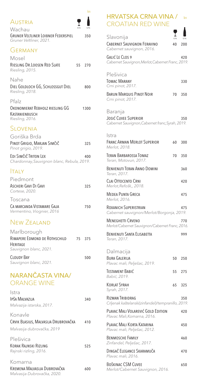|                                                                               | kn    |
|-------------------------------------------------------------------------------|-------|
| AUSTRIA<br>0.15L<br>Wachau                                                    | 0.751 |
| <b>GRUNER VELTLINER LOIBNER FEDERSPIEL</b><br>Gruner Veltliner, 2021.         | 350   |
| GERMANY<br>Mosel<br>RIESLING DR. LOOSEN RED SLATE<br>55<br>Riesling, 2015.    | 270   |
| Nahe<br>DIEL GOLDLOCH GG, SCHLOSSGUT DIEL<br>Riesling, 2018.                  | 800   |
| Pfalz<br>OKONOMIERAT REBHOLZ RIESLING GG<br>KASTANIENBUSCH<br>Riesling, 2016. | 1300  |
| SLOVENIA                                                                      |       |
| Goriška Brda<br>PINOT GRIGIO, MARJAN SIMČIČ<br>Pinot grigio, 2019.            | 325   |
| EDI SIMČIČ TRITON LEX<br>Chardonnay, Sauvignon blanc, Rebula, 2019.           | 400   |
| <b>TALY</b>                                                                   |       |
| Piedmont<br>ASCHERI GAVI DI GAVI<br>Cortese, 2020.                            | 325   |
| Toscana<br>Ca marcanda Vistamare Gaja<br>Vermentino, Viognier, 2016           | 750   |
| <b>NEW ZEALAND</b>                                                            |       |
| Marlborough<br>RIMAPERE EDMOND DE ROTHSCHILD<br>75<br>HERITAGE                | 375   |
| Sauvignon blanc, 2021.<br><b>CLOUDY BAY</b><br>Sauvignon blanc, 2021.         | 500   |
| NARANČASTA VINA/<br><b>ORANGE WINE</b>                                        |       |
| Istra<br>IPŠA MALVAZIJA<br>Malvazija istarska, 2017.                          | 340   |
| Konavle<br>CRVIK BLASIUS, MALVASIJA DRUBROVAČKA<br>Malvasija dubrovačka, 2019 | 410   |
| Plešivica<br>Korak Rajnski Rizling<br>Rajnski rizling, 2016.                  | 525   |
| Komarna<br>KREMENA MALVASIJA DUBROVAČKA<br>Malvasija Dubrovačka, 2020.        | 600   |

### HRVATSKA CRNA VINA / kn CROATIAN RED WINE

| Slavonija<br><b>CABERNET SAUVIGNON FERAVINO</b><br>Cabernet sauvignon, 2016.        | 0,15L<br>40 | 0,75L<br>200 |
|-------------------------------------------------------------------------------------|-------------|--------------|
| <b>GALIĆ LE CLOS 9</b><br>Cabernet Sauvignon, Merlot, Cabernet Franc, 2019.         |             | 420          |
| Plešivica<br><b>TOMAC MARANY</b><br>Crni pinot, 2017.                               |             | 330          |
| <b>BARUN MARQUIS PINOT NOIR</b><br>Crni pinot, 2017.                                | 70          | 350          |
| Baranja<br>JOSIĆ CUVEE SUPERIOR<br>Cabernet Sauvignon, Cabernet franc, Syrah, 2019. |             | 350          |
| Istra<br><b>FRANC ARMAN MERLOT SUPERIOR</b><br>Merlot, 2018.                        | 60          | 300          |
| <b>TERAN BARBAROSSA TOMAZ</b><br>Teran, Motovun, 2017.                              | 70          | 350          |
| BENVENUTI TERAN ANNO DOMINI<br>Teran, 2017.                                         |             | 360          |
| CLAI OTTOCENTO CRNI<br>Merlot, Refošk,, 2018.                                       |             | 420          |
| <b>MEDEA PUNTA GRECA</b><br>Merlot, 2016.                                           |             | 475          |
| ROXANICH SUPERISTRIAN<br>Cabernet sauvignon/Merlot/Borgonja, 2019.                  |             | 475          |
| <b>MENEGHETTI CRVENO</b><br>Merlot/Cabernet Sauvignon/Cabernet Franc, 2016.         |             | 770          |
| BENVENUTI SANTA ELISABETTA<br>Teran, 2017.                                          |             | 999          |
| Dalmacija<br>BURA GALERIJA<br>Plavac mali, Pelješac, 2019.                          | 50          | 250          |
| <b>TESTAMENT BABIĆ</b><br>Babić, 2019.                                              | 55          | 275          |
| <b>KORLAT SYRAH</b><br>Syrah, 2017.                                                 | 65          | 325          |
| RIZMAN TRIBIDRAG<br>Crljenak kaštelanski(zinfandel)/tempranillo, 2019.              |             | 350          |
| PLAVAC MALI VOLAREVIĆ GOLD EDITION<br>Plavac Mali, Komarna, 2016.                   |             | 420          |
| PLAVAC MALI KORTA KATARINA<br>Plavac mali, Pelješac, 2012.                          |             | 450          |
| <b>BENMOSCHE FAMILY</b><br>Zinfandel, Pelješac, 2017.                               |             | 460          |
| DINGAČ ELEGANCE SKARAMUČA<br>Plavac mali, 2016.                                     |             | 470          |
| BOŠKINAC CSM CUVEE<br>Merlot/Cabernet Sauvignon, 2016.                              |             | 650          |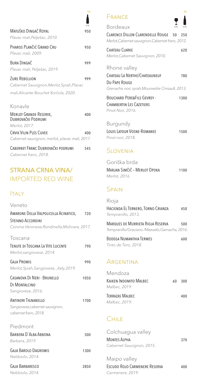|                                                                      | 0.751 |
|----------------------------------------------------------------------|-------|
| Matuško Dingač Royal<br>Plavac mali, Pelješac, 2010.                 | 950   |
| Pharos Plančić Grand Cru<br>Plavac mali, 2009.                       | 950   |
| <b>BURA DINGAČ</b><br>Plavac mali, Pelješac, 2019.                   | 999   |
| <b>ZURE REBELLION</b><br>Cabernet Sauvignon, Merlot, Syrah, Plavac   | 999   |
| mali, Alicante Bouchet Korčula, 2020.                                |       |
| Konavle                                                              |       |
| <b>MERLOT GRANDE RESERVE,</b><br>DUBROVAČKI PODRUMI<br>Merlot, 2017. | 400   |
| CRVIK VILIN PLES CUVEE                                               | 400   |
| Cabernet sauvignon, merlot, plavac mali, 2017.                       |       |
| CABERNET FRANC DUBROVAČKI PODRUMI                                    | 545   |
| Cabernet franc, 2018.                                                |       |

## STRANA CRNA VINA/ IMPORTED RED WINE

### **ITALY**

| Veneto                                        |      |
|-----------------------------------------------|------|
| AMARONE DELLA VALPOLICELLA ACINATICO,         | 720  |
| STEFANO ACCORDINI                             |      |
| Corvina Veronese, Rondinella, Molinara, 2017. |      |
| Toscana                                       |      |
| TENUTE DI TOSCANA LA VITE LUCENTE             | 790  |
| Merlot, sangiovese, 2014.                     |      |
| <b>GAJA PROMIS</b>                            | 990  |
| Merlot, Syrah, Sangiovese, , Italy, 2019.     |      |
| CASANOVA DI NERI - BRUNELLO                   | 1050 |
| DI MONTALCINO                                 |      |
| Sangiovese, 2016.                             |      |
| <b>ANTINORI TIGNANELLO</b>                    | 1700 |
| Sangiovese, cabernet sauvignon,               |      |
| cabernet franc, 2018.                         |      |
| Piedmont                                      |      |
| BARRERA D'ALBA ABRONA                         | 500  |
| Barbera, 2019.                                |      |
| <b>GAJA BAROLO DAGROMIS</b>                   | 1300 |
| Nebbiolo, 2014.                               |      |
| <b>GAJA BARBARESCO</b>                        | 2850 |
| Nebbiolo, 2014.                               |      |





| 0.75L | <b>Bordeaux</b>                                   | 0.15L | 0.75L |
|-------|---------------------------------------------------|-------|-------|
| 50ء   | CLARENCE DILLON CLARENDELLE ROUGE 50 250          |       |       |
|       | Merlot, Cabernet sauvignon, Cabernet franc, 2012. |       |       |
| 50،   |                                                   |       |       |

| CHATEAU CLARKE                    | 620 |
|-----------------------------------|-----|
| Merlot, Cabernet Sauvignon, 2010. |     |

#### Rhone valley

| CHATEAU LA NERTHE/CHATEAUNEUF                   | 780 |
|-------------------------------------------------|-----|
| Du Pape Rouge                                   |     |
| Grenache noir, syrah, Mourvedre Cinsault, 2013. |     |

| <b>BOUCHARD PERE&amp;FILS GEVREY -</b> | 1300 |
|----------------------------------------|------|
| CHAMBERTIN LES CAZETIERS               |      |
| Pinot Noir, 2016.                      |      |

#### Burgundy

| LOUIS LATOUR VOSNE-ROMANEE | 1500 |
|----------------------------|------|
| Pinot noir, 2018.          |      |

## **SLOVENIA**

| Goriška brda                 |      |
|------------------------------|------|
| Marjan Simčič - Merlot Opoka | 1100 |
| Merlot, 2016.                |      |

# **SPAIN**

| Rioja                                          |     |
|------------------------------------------------|-----|
| HACIENDA EL TERNERO, TORNO CRIANZA             | 450 |
| Tempranillo, 2013.                             |     |
| MARQUES DE MURRIETA RIOJA RESERVA              | 500 |
| Tempranillo/Graciano /Mazuelo, Garnacha, 2016. |     |

| BODEGA NUMANTHIA TERMES | 600 |
|-------------------------|-----|
| Tinto de Toro, 2018.    |     |

### **ARGENTINA**

| Mendoza                                 |    |     |
|-----------------------------------------|----|-----|
| Kaiken Indomito Malbec<br>Malbec, 2019. | 60 | 300 |
| Terrazas Malbec<br>Malbec, 2019.        |    | 400 |

# **CHILE**

| Colchuagua valley             |     |
|-------------------------------|-----|
| MONTES ALPHA                  | 370 |
| Cabernet Sauvignon, 2015.     |     |
|                               |     |
| Maipo valley                  |     |
| ESCUDO ROJO CARMENERE RESERVA | 400 |
| Carmenere, 2019.              |     |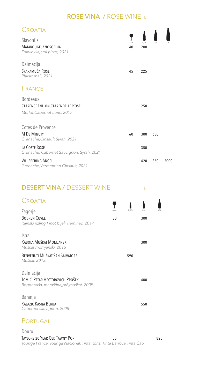### ROSE VINA / ROSE WINE kn

| Croatia                                                                                    |             |              |      |      |
|--------------------------------------------------------------------------------------------|-------------|--------------|------|------|
| Slavonija<br>MATAROUGE, ENOSOPHIA<br>Frankovka, crni pinot, 2021.                          | 0,15L<br>40 | 0.75L<br>200 | 1.51 | 31   |
| Dalmacija<br>SKARAMUČA ROSE<br>Plavac mali, 2021.                                          | 45          | 225          |      |      |
| <b>FRANCE</b>                                                                              |             |              |      |      |
| <b>Bordeaux</b><br><b>CLARENCE DILLON CLARENDELLE ROSE</b><br>Merlot, Cabernet franc, 2017 |             | 250          |      |      |
| Cotes de Provence<br><b>M DE MINUTY</b><br>Grenache, Cinsault, Syrah, 2021                 | 60          | 300          | 650  |      |
| LA COSTE ROSE<br>Grenache, Cabernet Sauvignon, Syrah, 2021                                 |             | 350          |      |      |
| <b>WHISPERING ANGEL</b><br>Grenache, Vermentino, Cinsault, 2021.                           |             | 420          | 850  | 2000 |
|                                                                                            |             |              |      |      |

kn

### DESERT VINA / DESSERT WINE

| Croatia                                                                                  |       |        |      |       |
|------------------------------------------------------------------------------------------|-------|--------|------|-------|
| Zagorje                                                                                  | 0.05L | 0.375L | 0.5L | 0.75L |
| <b>BODREN CUVEE</b><br>Rajnski rizling, Pinot bijeli, Traminac, 2017                     | 30    |        | 300  |       |
| <b>Istra</b>                                                                             |       |        |      |       |
| KABOLA MUŠKAT MOMJANSKI<br>Muškat momjanski, 2016                                        |       |        | 300  |       |
| <b>BENVENUTI MUŠKAT SAN SALVATORE</b><br>Muškat, 2013.                                   |       | 590    |      |       |
| Dalmacija<br>TOMIĆ, PETAR HECTOROVICH PROŠEK<br>Bogdanuša, maraština, prč, muškat, 2009. |       |        | 400  |       |
| Baranja<br>Kalazić Kasna Berba<br>Cabernet sauvignon, 2008                               |       |        | 550  |       |

# PORTUGAL

#### Douro TAYLORS 20 YEAR OLD TAWNY PORT 55 825 *Touriga Franca, Touriga Nacional, Tinta Roriz, Tinta Barroca,Tinta Cão*